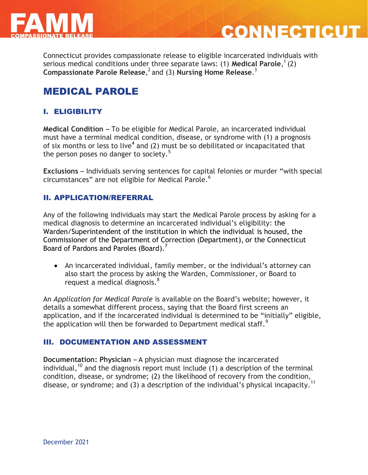

Connecticut provides compassionate release to eligible incarcerated individuals with serious medical conditions under three separate laws: (1) **Medical Parole**, 1 (2) **Compassionate Parole Release**, 2 and (3) **Nursing Home Release**. 3

**CONNECTICU** 

# MEDICAL PAROLE

# I. ELIGIBILITY

**Medical Condition** – To be eligible for Medical Parole, an incarcerated individual must have a terminal medical condition, disease, or syndrome with (1) a prognosis of six months or less to live<sup>4</sup> and (2) must be so debilitated or incapacitated that the person poses no danger to society. $5$ 

**Exclusions** – Individuals serving sentences for capital felonies or murder "with special circumstances" are not eligible for Medical Parole.<sup>6</sup>

### II. APPLICATION/REFERRAL

Any of the following individuals may start the Medical Parole process by asking for a medical diagnosis to determine an incarcerated individual's eligibility: the Warden/Superintendent of the institution in which the individual is housed, the Commissioner of the Department of Correction (Department), or the Connecticut Board of Pardons and Paroles (Board).<sup>7</sup>

 An incarcerated individual, family member, or the individual's attorney can also start the process by asking the Warden, Commissioner, or Board to request a medical diagnosis. $8<sup>8</sup>$ 

An *Application for Medical Parole* is available on the Board's website; however, it details a somewhat different process, saying that the Board first screens an application, and if the incarcerated individual is determined to be "initially" eligible, the application will then be forwarded to Department medical staff.<sup>9</sup>

#### III. DOCUMENTATION AND ASSESSMENT

**Documentation: Physician** – A physician must diagnose the incarcerated individual, <sup>10</sup> and the diagnosis report must include (1) a description of the terminal condition, disease, or syndrome; (2) the likelihood of recovery from the condition, disease, or syndrome; and (3) a description of the individual's physical incapacity.<sup>11</sup>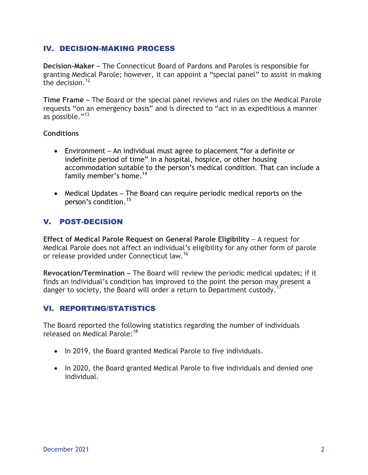### IV. DECISION-MAKING PROCESS

**Decision-Maker** – The Connecticut Board of Pardons and Paroles is responsible for granting Medical Parole; however, it can appoint a "special panel" to assist in making the decision. $12$ 

**Time Frame** – The Board or the special panel reviews and rules on the Medical Parole requests "on an emergency basis" and is directed to "act in as expeditious a manner as possible."<sup>13</sup>

#### **Conditions**

- Environment *–* An individual must agree to placement "for a definite or indefinite period of time" in a hospital, hospice, or other housing accommodation suitable to the person's medical condition. That can include a family member's home. 14
- Medical Updates The Board can require periodic medical reports on the person's condition.<sup>15</sup>

# V. POST-DECISION

**Effect of Medical Parole Request on General Parole Eligibility – A request for** Medical Parole does not affect an individual's eligibility for any other form of parole or release provided under Connecticut law.<sup>16</sup>

**Revocation/Termination** – The Board will review the periodic medical updates; if it finds an individual's condition has improved to the point the person may present a danger to society, the Board will order a return to Department custody.

## VI. REPORTING/STATISTICS

The Board reported the following statistics regarding the number of individuals released on Medical Parole:<sup>18</sup>

- In 2019, the Board granted Medical Parole to five individuals.
- In 2020, the Board granted Medical Parole to five individuals and denied one individual.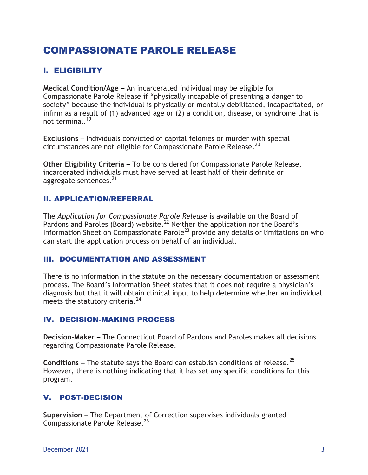# COMPASSIONATE PAROLE RELEASE

# I. ELIGIBILITY

**Medical Condition/Age** – An incarcerated individual may be eligible for Compassionate Parole Release if "physically incapable of presenting a danger to society" because the individual is physically or mentally debilitated, incapacitated, or infirm as a result of (1) advanced age or (2) a condition, disease, or syndrome that is not terminal.<sup>19</sup>

**Exclusions** – Individuals convicted of capital felonies or murder with special circumstances are not eligible for Compassionate Parole Release.<sup>20</sup>

**Other Eligibility Criteria** – To be considered for Compassionate Parole Release, incarcerated individuals must have served at least half of their definite or aggregate sentences.<sup>21</sup>

### II. APPLICATION/REFERRAL

The *Application for Compassionate Parole Release* is available on the Board of Pardons and Paroles (Board) website.<sup>22</sup> Neither the application nor the Board's Information Sheet on Compassionate Parole<sup>23</sup> provide any details or limitations on who can start the application process on behalf of an individual.

#### III. DOCUMENTATION AND ASSESSMENT

There is no information in the statute on the necessary documentation or assessment process. The Board's Information Sheet states that it does not require a physician's diagnosis but that it will obtain clinical input to help determine whether an individual meets the statutory criteria.<sup>24</sup>

#### IV. DECISION-MAKING PROCESS

**Decision-Maker** – The Connecticut Board of Pardons and Paroles makes all decisions regarding Compassionate Parole Release.

**Conditions** – The statute says the Board can establish conditions of release.<sup>25</sup> However, there is nothing indicating that it has set any specific conditions for this program.

## V. POST-DECISION

**Supervision** – The Department of Correction supervises individuals granted Compassionate Parole Release.<sup>26</sup>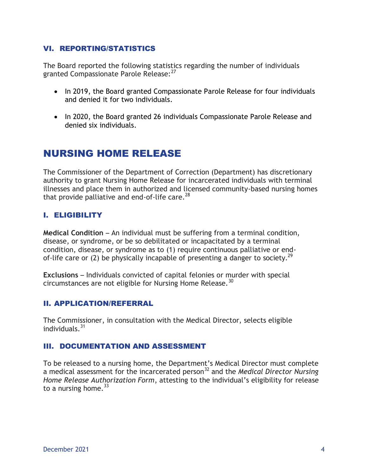### VI. REPORTING/STATISTICS

The Board reported the following statistics regarding the number of individuals granted Compassionate Parole Release: <sup>27</sup>

- In 2019, the Board granted Compassionate Parole Release for four individuals and denied it for two individuals.
- In 2020, the Board granted 26 individuals Compassionate Parole Release and denied six individuals.

# NURSING HOME RELEASE

The Commissioner of the Department of Correction (Department) has discretionary authority to grant Nursing Home Release for incarcerated individuals with terminal illnesses and place them in authorized and licensed community-based nursing homes that provide palliative and end-of-life care.<sup>28</sup>

## I. ELIGIBILITY

**Medical Condition –** An individual must be suffering from a terminal condition, disease, or syndrome, or be so debilitated or incapacitated by a terminal condition, disease, or syndrome as to (1) require continuous palliative or endof-life care or (2) be physically incapable of presenting a danger to society.<sup>29</sup>

**Exclusions** – Individuals convicted of capital felonies or murder with special circumstances are not eligible for Nursing Home Release.<sup>30</sup>

#### II. APPLICATION/REFERRAL

The Commissioner, in consultation with the Medical Director, selects eligible individuals.<sup>31</sup>

#### III. DOCUMENTATION AND ASSESSMENT

To be released to a nursing home, the Department's Medical Director must complete a medical assessment for the incarcerated person<sup>32</sup> and the *Medical Director Nursing Home Release Authorization Form*, attesting to the individual's eligibility for release to a nursing home.  $33$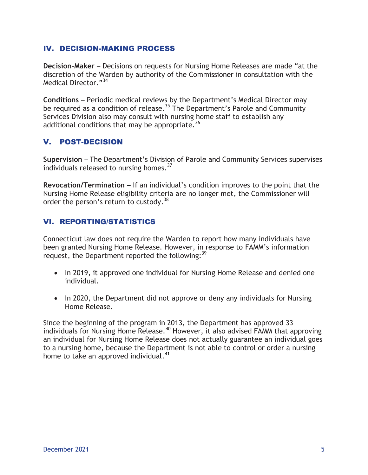### IV. DECISION-MAKING PROCESS

**Decision-Maker** – Decisions on requests for Nursing Home Releases are made "at the discretion of the Warden by authority of the Commissioner in consultation with the Medical Director."<sup>34</sup>

**Conditions** – Periodic medical reviews by the Department's Medical Director may be required as a condition of release.<sup>35</sup> The Department's Parole and Community Services Division also may consult with nursing home staff to establish any additional conditions that may be appropriate.<sup>36</sup>

## V. POST-DECISION

**Supervision** – The Department's Division of Parole and Community Services supervises individuals released to nursing homes. $^{37}$ 

**Revocation/Termination** – If an individual's condition improves to the point that the Nursing Home Release eligibility criteria are no longer met, the Commissioner will order the person's return to custody. $38$ 

# VI. REPORTING/STATISTICS

Connecticut law does not require the Warden to report how many individuals have been granted Nursing Home Release. However, in response to FAMM's information request, the Department reported the following:<sup>39</sup>

- In 2019, it approved one individual for Nursing Home Release and denied one individual.
- In 2020, the Department did not approve or deny any individuals for Nursing Home Release.

Since the beginning of the program in 2013, the Department has approved 33 individuals for Nursing Home Release.<sup>40</sup> However, it also advised FAMM that approving an individual for Nursing Home Release does not actually guarantee an individual goes to a nursing home, because the Department is not able to control or order a nursing home to take an approved individual.<sup>41</sup>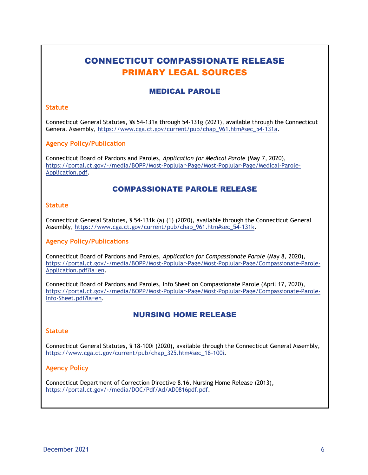# CONNECTICUT COMPASSIONATE RELEASE PRIMARY LEGAL SOURCES

## MEDICAL PAROLE

#### **Statute**

Connecticut General Statutes, §§ 54-131a through 54-131g (2021), available through the Connecticut General Assembly, [https://www.cga.ct.gov/current/pub/chap\\_961.htm#sec\\_54-131a.](https://www.cga.ct.gov/current/pub/chap_961.htm#sec_54-131a)

#### **Agency Policy/Publication**

Connecticut Board of Pardons and Paroles, *Application for Medical Parole* (May 7, 2020), [https://portal.ct.gov/-/media/BOPP/Most-Poplular-Page/Most-Poplular-Page/Medical-Parole-](https://portal.ct.gov/-/media/BOPP/Most-Poplular-Page/Most-Poplular-Page/Medical-Parole-Application.pdf)[Application.pdf.](https://portal.ct.gov/-/media/BOPP/Most-Poplular-Page/Most-Poplular-Page/Medical-Parole-Application.pdf)

#### COMPASSIONATE PAROLE RELEASE

#### **Statute**

Connecticut General Statutes, § 54-131k (a) (1) (2020), available through the Connecticut General Assembly, [https://www.cga.ct.gov/current/pub/chap\\_961.htm#sec\\_54-131k.](https://www.cga.ct.gov/current/pub/chap_961.htm#sec_54-131k)

#### **Agency Policy/Publications**

Connecticut Board of Pardons and Paroles, *Application for Compassionate Parole* (May 8, 2020), [https://portal.ct.gov/-/media/BOPP/Most-Poplular-Page/Most-Poplular-Page/Compassionate-Parole-](https://portal.ct.gov/-/media/BOPP/Most-Poplular-Page/Most-Poplular-Page/Compassionate-Parole-Application.pdf?la=en)[Application.pdf?la=en.](https://portal.ct.gov/-/media/BOPP/Most-Poplular-Page/Most-Poplular-Page/Compassionate-Parole-Application.pdf?la=en)

Connecticut Board of Pardons and Paroles, Info Sheet on Compassionate Parole (April 17, 2020), [https://portal.ct.gov/-/media/BOPP/Most-Poplular-Page/Most-Poplular-Page/Compassionate-Parole-](https://portal.ct.gov/-/media/BOPP/Most-Poplular-Page/Most-Poplular-Page/Compassionate-Parole-Info-Sheet.pdf?la=en)[Info-Sheet.pdf?la=en.](https://portal.ct.gov/-/media/BOPP/Most-Poplular-Page/Most-Poplular-Page/Compassionate-Parole-Info-Sheet.pdf?la=en)

#### NURSING HOME RELEASE

#### **Statute**

Connecticut General Statutes, § 18-100i (2020), available through the Connecticut General Assembly, [https://www.cga.ct.gov/current/pub/chap\\_325.htm#sec\\_18-100i.](https://www.cga.ct.gov/current/pub/chap_325.htm#sec_18-100i)

#### **Agency Policy**

Connecticut Department of Correction Directive 8.16, Nursing Home Release (2013), [https://portal.ct.gov/-/media/DOC/Pdf/Ad/AD0816pdf.pdf.](https://portal.ct.gov/-/media/DOC/Pdf/Ad/AD0816pdf.pdf)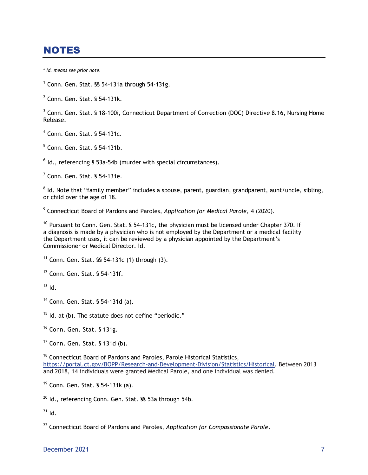# **NOTES**

\* *Id. means see prior note.*

 $1$  Conn. Gen. Stat. §§ 54-131a through 54-131g.

2 Conn. Gen. Stat. § 54-131k.

<sup>3</sup> Conn. Gen. Stat. § 18-100i, Connecticut Department of Correction (DOC) Directive 8.16, Nursing Home Release.

4 Conn. Gen. Stat. § 54-131c.

5 Conn. Gen. Stat. § 54-131b.

 $<sup>6</sup>$  Id., referencing § 53a-54b (murder with special circumstances).</sup>

 $7$  Conn. Gen. Stat. § 54-131e.

 $^8$  Id. Note that "family member" includes a spouse, parent, guardian, grandparent, aunt/uncle, sibling, or child over the age of 18.

9 Connecticut Board of Pardons and Paroles, *Application for Medical Parole*, 4 (2020).

 $10$  Pursuant to Conn. Gen. Stat. § 54-131c, the physician must be licensed under Chapter 370. If a diagnosis is made by a physician who is not employed by the Department or a medical facility the Department uses, it can be reviewed by a physician appointed by the Department's Commissioner or Medical Director. Id.

 $11$  Conn. Gen. Stat. §§ 54-131c (1) through (3).

<sup>12</sup> Conn. Gen. Stat. § 54-131f.

 $13$  Id.

<sup>14</sup> Conn. Gen. Stat. § 54-131d (a).

 $15$  Id. at (b). The statute does not define "periodic."

<sup>16</sup> Conn. Gen. Stat. § 131g.

<sup>17</sup> Conn. Gen. Stat. § 131d (b).

<sup>18</sup> Connecticut Board of Pardons and Paroles, Parole Historical Statistics, [https://portal.ct.gov/BOPP/Research-and-Development-Division/Statistics/Historical.](https://portal.ct.gov/BOPP/Research-and-Development-Division/Statistics/Historical) Between 2013 and 2018, 14 individuals were granted Medical Parole, and one individual was denied.

<sup>19</sup> Conn. Gen. Stat. § 54-131k (a).

 $20$  Id., referencing Conn. Gen. Stat. §§ 53a through 54b.

 $21$  Id.

<sup>22</sup> Connecticut Board of Pardons and Paroles, *Application for Compassionate Parole*.